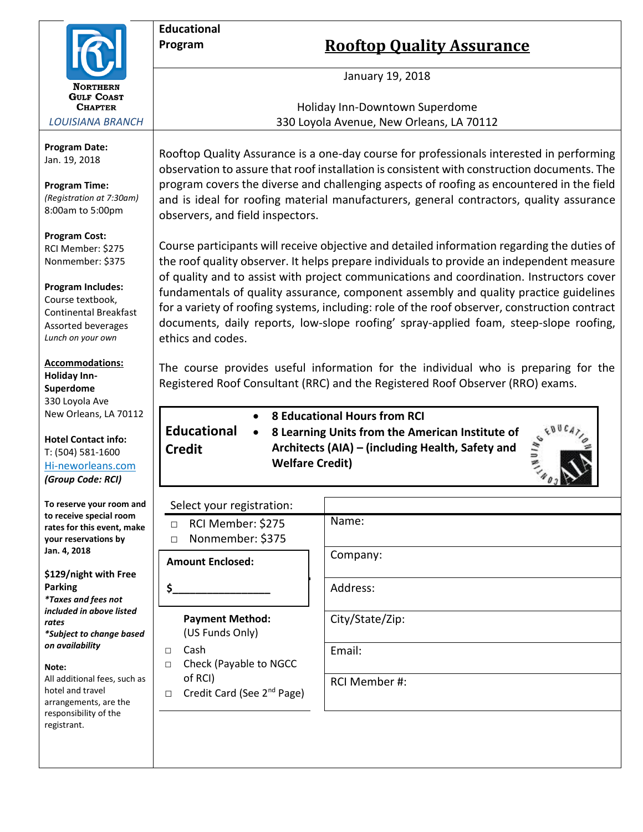

**Educational**

**Credit**

*LOUISIANA BRANCH*

**Program Date:** Jan. 19, 2018

**Program Time:** *(Registration at 7:30am)* 8:00am to 5:00pm

**Program Cost:** RCI Member: \$275 Nonmember: \$375

**Program Includes:** Course textbook, Continental Breakfast Assorted beverages *Lunch on your own*

**Accommodations: Holiday Inn-Superdome** 330 Loyola Ave New Orleans, LA 70112

**Hotel Contact info:** T: (504) 581-1600 Hi-neworleans.com *(Group Code: RCI)*

**To reserve your room and to receive special room rates for this event, make your reservations by Jan. 4, 2018**

**\$129/night with Free Parking** *\*Taxes and fees not included in above listed rates \*Subject to change based on availability*

**Note:**

All additional fees, such as hotel and travel arrangements, are the responsibility of the registrant.

**Program Rooftop Quality Assurance** 

January 19, 2018

Holiday Inn-Downtown Superdome 330 Loyola Avenue, New Orleans, LA 70112

Rooftop Quality Assurance is a one-day course for professionals interested in performing observation to assure that roof installation is consistent with construction documents. The program covers the diverse and challenging aspects of roofing as encountered in the field and is ideal for roofing material manufacturers, general contractors, quality assurance observers, and field inspectors.

Course participants will receive objective and detailed information regarding the duties of the roof quality observer. It helps prepare individuals to provide an independent measure of quality and to assist with project communications and coordination. Instructors cover fundamentals of quality assurance, component assembly and quality practice guidelines for a variety of roofing systems, including: role of the roof observer, construction contract documents, daily reports, low-slope roofing' spray-applied foam, steep-slope roofing, ethics and codes.

The course provides useful information for the individual who is preparing for the Registered Roof Consultant (RRC) and the Registered Roof Observer (RRO) exams.

• **8 Educational Hours from RCI**

**Educational**  • **8 Learning Units from the American Institute of Architects (AIA) – (including Health, Safety and Welfare Credit)**



| Select your registration:                                   |                 |
|-------------------------------------------------------------|-----------------|
| RCI Member: \$275<br>$\Box$<br>Nonmember: \$375<br>$\Box$   | Name:           |
| <b>Amount Enclosed:</b>                                     | Company:        |
| Ś.                                                          | Address:        |
| <b>Payment Method:</b><br>(US Funds Only)                   | City/State/Zip: |
| Cash<br>$\Box$<br>Check (Payable to NGCC<br>$\Box$          | Email:          |
| of RCI)<br>Credit Card (See 2 <sup>nd</sup> Page)<br>$\Box$ | RCI Member #:   |
|                                                             |                 |